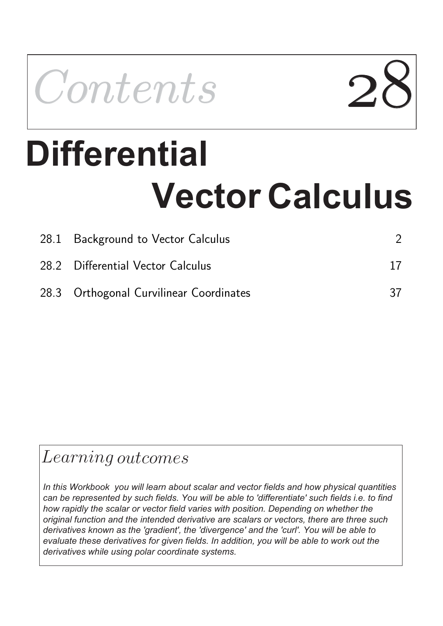

# **Differential Vector Calculus**

| 28.1 Background to Vector Calculus      |    |
|-----------------------------------------|----|
| 28.2 Differential Vector Calculus       |    |
| 28.3 Orthogonal Curvilinear Coordinates | 37 |

## Learning outcomes

*In this Workbook you will learn about scalar and vector fields and how physical quantities can be represented by such fields. You will be able to 'differentiate' such fields i.e. to find how rapidly the scalar or vector field varies with position. Depending on whether the original function and the intended derivative are scalars or vectors, there are three such derivatives known as the 'gradient', the 'divergence' and the 'curl'. You will be able to evaluate these derivatives for given fields. In addition, you will be able to work out the derivatives while using polar coordinate systems.*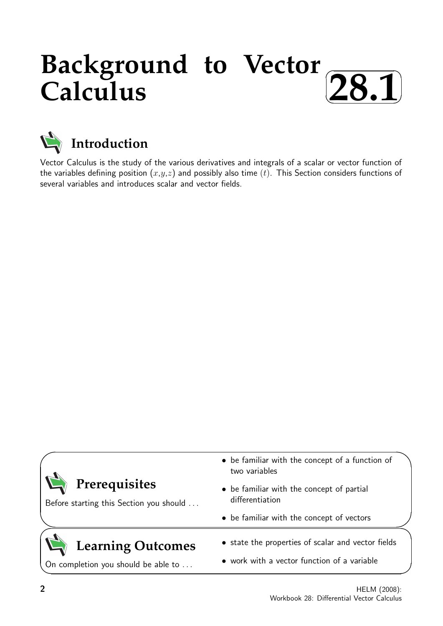## **Background to Vector Calculus**  $\sqrt{2}$ ✒ ✏ **28.1**✑



Vector Calculus is the study of the various derivatives and integrals of a scalar or vector function of the variables defining position  $(x,y,z)$  and possibly also time  $(t)$ . This Section considers functions of several variables and introduces scalar and vector fields.

| Prerequisites<br>Before starting this Section you should        | • be familiar with the concept of a function of<br>two variables<br>• be familiar with the concept of partial<br>differentiation |  |  |
|-----------------------------------------------------------------|----------------------------------------------------------------------------------------------------------------------------------|--|--|
|                                                                 | • be familiar with the concept of vectors                                                                                        |  |  |
| <b>Learning Outcomes</b><br>On completion you should be able to | • state the properties of scalar and vector fields<br>• work with a vector function of a variable                                |  |  |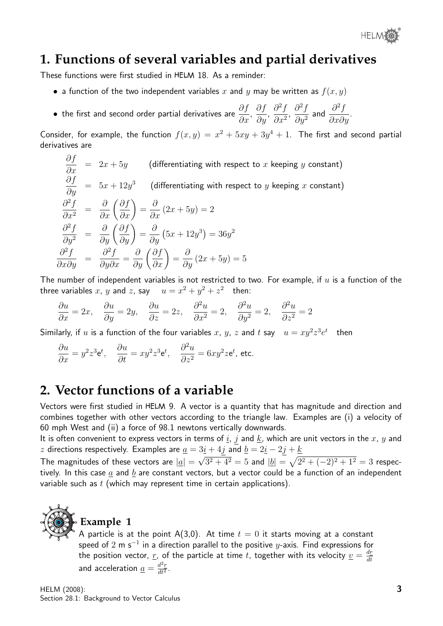

## **1. Functions of several variables and partial derivatives**

These functions were first studied in HELM 18. As a reminder:

- a function of the two independent variables x and y may be written as  $f(x, y)$
- the first and second order partial derivatives are  $\frac{\partial f}{\partial \theta}$  $\frac{\partial f}{\partial x}$ , ∂f  $rac{\sigma_J}{\partial y}$ ,  $\partial^2 f$  $\frac{\partial}{\partial x^2}$  $\partial^2 f$  $\partial y^2$ and  $\frac{\partial^2 f}{\partial x^2}$  $\frac{\partial}{\partial x \partial y}$ .

Consider, for example, the function  $f(x, y) = x^2 + 5xy + 3y^4 + 1$ . The first and second partial derivatives are

$$
\frac{\partial f}{\partial x} = 2x + 5y \qquad \text{(differentiating with respect to } x \text{ keeping } y \text{ constant)}
$$
\n
$$
\frac{\partial f}{\partial y} = 5x + 12y^3 \qquad \text{(differentiating with respect to } y \text{ keeping } x \text{ constant)}
$$
\n
$$
\frac{\partial^2 f}{\partial x^2} = \frac{\partial}{\partial x} \left( \frac{\partial f}{\partial x} \right) = \frac{\partial}{\partial x} (2x + 5y) = 2
$$
\n
$$
\frac{\partial^2 f}{\partial y^2} = \frac{\partial}{\partial y} \left( \frac{\partial f}{\partial y} \right) = \frac{\partial}{\partial y} (5x + 12y^3) = 36y^2
$$
\n
$$
\frac{\partial^2 f}{\partial x \partial y} = \frac{\partial^2 f}{\partial y \partial x} = \frac{\partial}{\partial y} \left( \frac{\partial f}{\partial x} \right) = \frac{\partial}{\partial y} (2x + 5y) = 5
$$

The number of independent variables is not restricted to two. For example, if  $u$  is a function of the three variables x, y and z, say  $u = x^2 + y^2 + z^2$  then:

$$
\frac{\partial u}{\partial x} = 2x, \quad \frac{\partial u}{\partial y} = 2y, \quad \frac{\partial u}{\partial z} = 2z, \quad \frac{\partial^2 u}{\partial x^2} = 2, \quad \frac{\partial^2 u}{\partial y^2} = 2, \quad \frac{\partial^2 u}{\partial z^2} = 2
$$

Similarly, if  $u$  is a function of the four variables  $x, y, z$  and  $t$  say  $u = xy^2z^3e^t$  then

$$
\frac{\partial u}{\partial x} = y^2 z^3 e^t, \quad \frac{\partial u}{\partial t} = xy^2 z^3 e^t, \quad \frac{\partial^2 u}{\partial z^2} = 6xy^2 z e^t, \text{ etc.}
$$

## **2. Vector functions of a variable**

Vectors were first studied in HELM 9. A vector is a quantity that has magnitude and direction and combines together with other vectors according to the triangle law. Examples are (i) a velocity of 60 mph West and (ii) a force of 98.1 newtons vertically downwards.

It is often convenient to express vectors in terms of  $i$ ,  $j$  and  $k$ , which are unit vectors in the  $x$ ,  $y$  and z directions respectively. Examples are  $\underline{a} = 3\underline{i} + 4j$  and  $\underline{b} = 2\underline{i} - 2j + \underline{k}$ √

The magnitudes of these vectors are  $|\underline{a}| =$  $\overline{3^2+4^2}=5$  and  $|\underline{b}|=\sqrt{2^2+(-2)^2+1^2}=3$  respectively. In this case  $\underline{a}$  and  $\underline{b}$  are constant vectors, but a vector could be a function of an independent variable such as  $t$  (which may represent time in certain applications).



## **Example 1**

A particle is at the point A(3,0). At time  $t = 0$  it starts moving at a constant speed of 2 m s $^{-1}$  in a direction parallel to the positive  $y$ -axis. Find expressions for the position vector, <u>r</u>, of the particle at time t, together with its velocity  $v = \frac{dr}{dt}$ dt and acceleration  $\underline{a} = \frac{d^2r}{dt^2}$  $rac{d^2r}{dt^2}$ .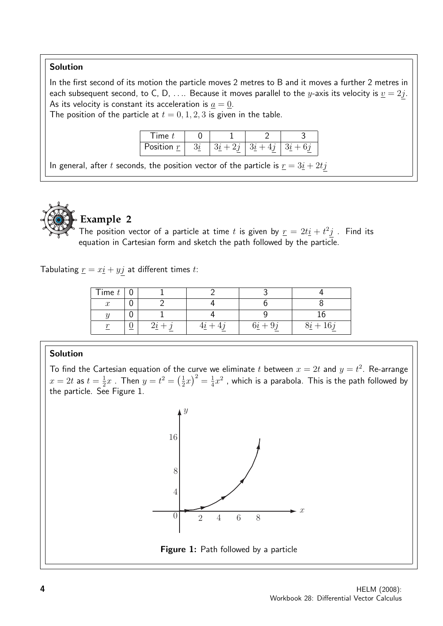#### Solution

In the first second of its motion the particle moves 2 metres to B and it moves a further 2 metres in each subsequent second, to C, D, .... Because it moves parallel to the y-axis its velocity is  $\underline{v} = 2j$ . As its velocity is constant its acceleration is  $\underline{a} = \underline{0}$ .

The position of the particle at  $t = 0, 1, 2, 3$  is given in the table.

| ıme          |  |  |
|--------------|--|--|
| Position $r$ |  |  |

In general, after t seconds, the position vector of the particle is  $\underline{r} = 3\underline{i} + 2t\underline{j}$ 



#### **Example 2**

The position vector of a particle at time t is given by  $\underline{r} = 2t\underline{i} + t^2\underline{j}$  . Find its equation in Cartesian form and sketch the path followed by the particle.

Tabulating  $\underline{r} = x\underline{i} + y\underline{j}$  at different times t:

| Time $t$         |  |        |            |
|------------------|--|--------|------------|
| $\boldsymbol{x}$ |  |        |            |
|                  |  |        |            |
|                  |  | $6i +$ | $8i + 16j$ |

#### Solution

To find the Cartesian equation of the curve we eliminate  $t$  between  $x=2t$  and  $y=t^2$ . Re-arrange  $x=2t$  as  $t=\frac{1}{2}$  $\frac{1}{2}x$  . Then  $y=t^2=\left(\frac{1}{2}\right)$  $(\frac{1}{2}x)^2 = \frac{1}{4}$  $\frac{1}{4}x^2$  , which is a parabola. This is the path followed by the particle. See Figure 1.



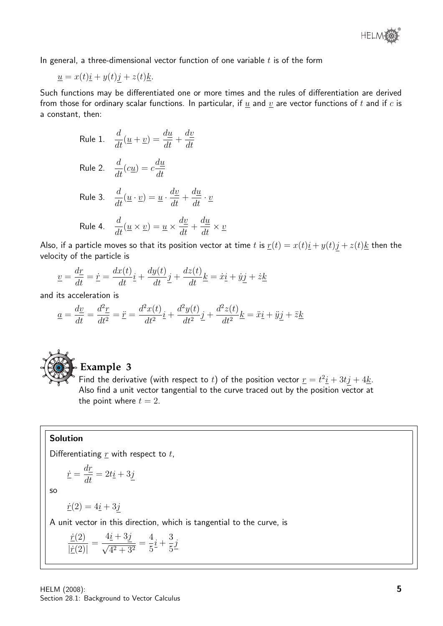

In general, a three-dimensional vector function of one variable  $t$  is of the form

$$
\underline{u} = x(t)\underline{i} + y(t)\underline{j} + z(t)\underline{k}.
$$

Such functions may be differentiated one or more times and the rules of differentiation are derived from those for ordinary scalar functions. In particular, if  $\underline{u}$  and  $\underline{v}$  are vector functions of  $t$  and if  $c$  is a constant, then:

Rule 1. 
$$
\frac{d}{dt}(\underline{u} + \underline{v}) = \frac{d\underline{u}}{dt} + \frac{d\underline{v}}{dt}
$$
  
\nRule 2. 
$$
\frac{d}{dt}(c\underline{u}) = c\frac{d\underline{u}}{dt}
$$
  
\nRule 3. 
$$
\frac{d}{dt}(\underline{u} \cdot \underline{v}) = \underline{u} \cdot \frac{d\underline{v}}{dt} + \frac{d\underline{u}}{dt} \cdot \underline{v}
$$
  
\nRule 4. 
$$
\frac{d}{dt}(\underline{u} \times \underline{v}) = \underline{u} \times \frac{d\underline{v}}{dt} + \frac{d\underline{u}}{dt} \times
$$

Also, if a particle moves so that its position vector at time t is  $\underline{r}(t) = x(t)\underline{i} + y(t)\underline{j} + z(t)\underline{k}$  then the velocity of the particle is

 $\underline{v}$ 

$$
\underline{v} = \frac{d\underline{r}}{dt} = \dot{\underline{r}} = \frac{dx(t)}{dt}\underline{i} + \frac{dy(t)}{dt}\underline{j} + \frac{dz(t)}{dt}\underline{k} = \dot{x}\underline{i} + \dot{y}\underline{j} + \dot{z}\underline{k}
$$

and its acceleration is

$$
\underline{a} = \frac{dy}{dt} = \frac{d^2\underline{r}}{dt^2} = \ddot{\underline{r}} = \frac{d^2x(t)}{dt^2}\underline{i} + \frac{d^2y(t)}{dt^2}\underline{j} + \frac{d^2z(t)}{dt^2}\underline{k} = \ddot{x}\underline{i} + \ddot{y}\underline{j} + \ddot{z}\underline{k}
$$



## **Example 3**

Find the derivative (with respect to t) of the position vector  $\underline{r} = t^2 \underline{i} + 3t \underline{j} + 4 \underline{k}$ . Also find a unit vector tangential to the curve traced out by the position vector at the point where  $t = 2$ .

#### Solution

Differentiating  $\underline{r}$  with respect to  $t$ ,

$$
\dot{\underline{r}} = \frac{d\underline{r}}{dt} = 2t\underline{i} + 3\underline{j}
$$

so

 $\underline{\dot{r}}(2) = 4\underline{i} + 3\underline{j}$ 

A unit vector in this direction, which is tangential to the curve, is

$$
\frac{\dot{\underline{r}}(2)}{|\dot{\underline{r}}(2)|} = \frac{4\underline{i} + 3\underline{j}}{\sqrt{4^2 + 3^2}} = \frac{4}{5}\underline{i} + \frac{3}{5}\underline{j}
$$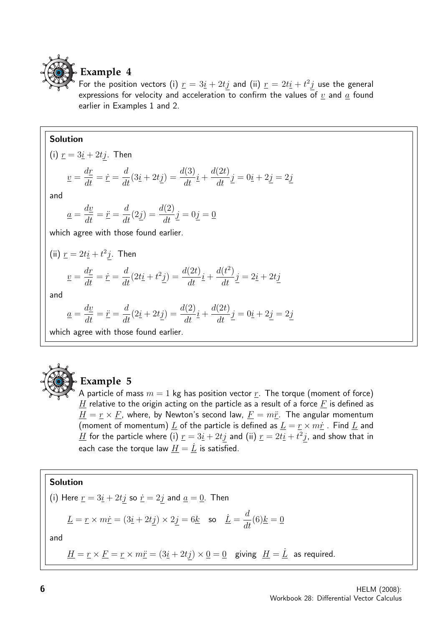

#### **Example 4**

For the position vectors (i)  $\underline{r} = 3\underline{i} + 2t\underline{j}$  and (ii)  $\underline{r} = 2t\underline{i} + t^2\underline{j}$  use the general expressions for velocity and acceleration to confirm the values of  $\underline{v}$  and  $\underline{a}$  found earlier in Examples 1 and 2.

#### Solution

(i) 
$$
\underline{r} = 3\underline{i} + 2t\underline{j}
$$
. Then  
\n
$$
\underline{v} = \frac{d\underline{r}}{dt} = \dot{\underline{r}} = \frac{d}{dt}(3\underline{i} + 2t\underline{j}) = \frac{d(3)}{dt}\underline{i} + \frac{d(2t)}{dt}\underline{j} = 0\underline{i} + 2\underline{j} = 2\underline{j}
$$
\nand  
\n
$$
\underline{a} = \frac{d\underline{v}}{dt} = \ddot{\underline{r}} = \frac{d}{dt}(2\underline{j}) = \frac{d(2)}{dt}\underline{j} = 0\underline{j} = \underline{0}
$$
\nwhich agree with those found earlier.  
\n(ii)  $\underline{r} = 2t\underline{i} + t^2\underline{j}$ . Then  
\n
$$
\underline{v} = \frac{d\underline{r}}{dt} = \dot{\underline{r}} = \frac{d}{dt}(2t\underline{i} + t^2\underline{j}) = \frac{d(2t)}{dt}\underline{i} + \frac{d(t^2)}{dt}\underline{j} = 2\underline{i} + 2t\underline{j}
$$
\nand  
\n
$$
\underline{a} = \frac{d\underline{v}}{dt} = \ddot{\underline{r}} = \frac{d}{dt}(2\underline{i} + 2t\underline{j}) = \frac{d(2)}{dt}\underline{i} + \frac{d(2t)}{dt}\underline{j} = 0\underline{i} + 2\underline{j} = 2\underline{j}
$$

which agree with those found earlier.



## **Example 5**

A particle of mass  $m = 1$  kg has position vector  $r$ . The torque (moment of force)  $H$  relative to the origin acting on the particle as a result of a force  $F$  is defined as  $\underline{H} = \underline{r} \times \underline{F}$ , where, by Newton's second law,  $\underline{F} = m\underline{\ddot{r}}$ . The angular momentum (moment of momentum)  $\underline{L}$  of the particle is defined as  $\underline{L} = \underline{r} \times m\underline{\dot{r}}$ . Find  $\underline{L}$  and  $\underline{H}$  for the particle where (i)  $\underline{r} = 3\underline{i} + 2t\underline{j}$  and (ii)  $\underline{r} = 2t\underline{i} + t^2\underline{j}$ , and show that in each case the torque law  $\underline{H}=\dot{\underline{L}}$  is satisfied.

#### Solution

(i) Here 
$$
\underline{r} = 3\underline{i} + 2t\underline{j}
$$
 so  $\underline{\dot{r}} = 2\underline{j}$  and  $\underline{a} = \underline{0}$ . Then

$$
\underline{L} = \underline{r} \times m\dot{\underline{r}} = (3\underline{i} + 2t\underline{j}) \times 2\underline{j} = 6\underline{k} \quad \text{so} \quad \underline{\dot{L}} = \frac{d}{dt}(6)\underline{k} = 0
$$

and

 $\underline{H} = \underline{r} \times \underline{F} = \underline{r} \times m\underline{\ddot{r}} = (3\underline{i} + 2t\underline{j}) \times \underline{0} = \underline{0}$  giving  $\underline{H} = \underline{\dot{L}}$  as required.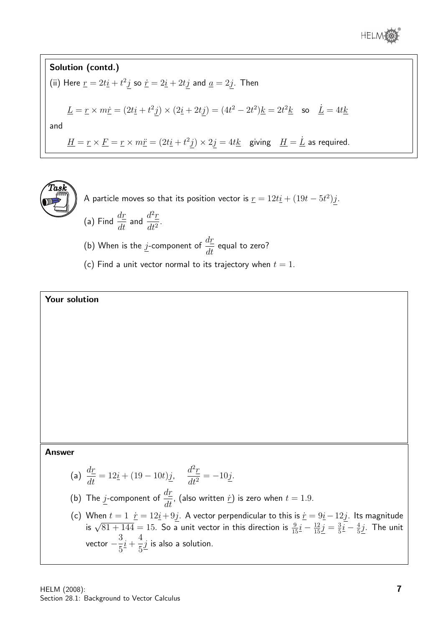

**Solution (contd.)**  
\n(ii) Here 
$$
\underline{r} = 2t\underline{i} + t^2\underline{j}
$$
 so  $\dot{\underline{r}} = 2\underline{i} + 2t\underline{j}$  and  $\underline{a} = 2\underline{j}$ . Then  
\n
$$
\underline{L} = \underline{r} \times m\underline{\dot{r}} = (2t\underline{i} + t^2\underline{j}) \times (2\underline{i} + 2t\underline{j}) = (4t^2 - 2t^2)\underline{k} = 2t^2\underline{k} \text{ so } \underline{\dot{L}} = 4t\underline{k}
$$
\nand\n
$$
\underline{H} = \underline{r} \times \underline{F} = \underline{r} \times m\underline{\ddot{r}} = (2t\underline{i} + t^2\underline{j}) \times 2\underline{j} = 4t\underline{k} \text{ giving } \underline{H} = \underline{\dot{L}} \text{ as required.}
$$

 $\widehat{T}$ as $\widehat{k}$ 

A particle moves so that its position vector is  $\underline{r}=12t\underline{i}+(19t-5t^2)\underline{j}.$ 

- (a) Find  $\frac{d\underline{r}}{dt}$  and  $\frac{d^2\underline{r}}{dt^2}$  $\frac{d}{dt^2}$ .
- (b) When is the j-component of  $\frac{dr}{dt}$  $\frac{dS}{dt}$  equal to zero?
- (c) Find a unit vector normal to its trajectory when  $t = 1$ .



#### Answer

(a) 
$$
\frac{d\mathbf{r}}{dt} = 12\underline{i} + (19 - 10t)\underline{j}
$$
,  $\frac{d^2\mathbf{r}}{dt^2} = -10\underline{j}$ .  
\n(b) The j-component of  $\frac{d\mathbf{r}}{dt}$ , (also written r) is zero when  $t = 1.9$ .

(c) When  $t = 1$   $\dot{r} = 12\dot{t} + 9\dot{t}$ . A vector perpendicular to this is  $\dot{r} = 9\dot{t} - 12\dot{t}$ . Its magnitude is  $\sqrt{81 + 144} = 15$ . So a unit vector in this direction is  $\frac{9}{15}\dot{t} - \frac{12}{15}\dot{t} = \frac{3}{5}\dot{t} - \frac{4}{$  $\frac{3}{5}\underline{i} - \frac{4}{5}$  $\frac{4}{5}\underline{j}$ . The unit vector  $-\frac{3}{5}$ 5  $i +$ 4 5  $j$  is also a solution.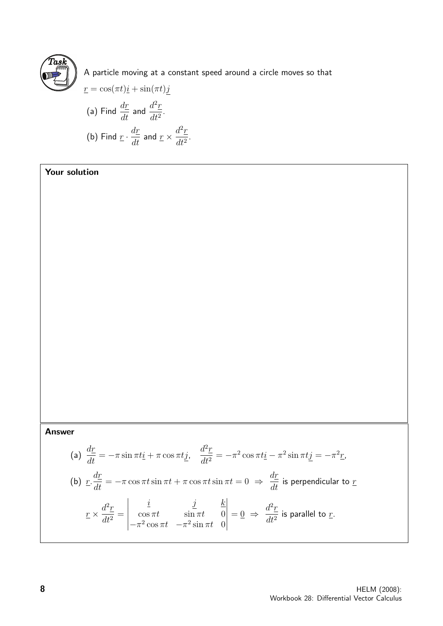

A particle moving at a constant speed around a circle moves so that

$$
\underline{r} = \cos(\pi t)\underline{i} + \sin(\pi t)\underline{j}
$$
\n(a) Find  $\frac{d\underline{r}}{dt}$  and  $\frac{d^2\underline{r}}{dt^2}$ .  
\n(b) Find  $\underline{r} \cdot \frac{d\underline{r}}{dt}$  and  $\underline{r} \times \frac{d^2\underline{r}}{dt^2}$ .

#### Your solution

#### Answer

(a) 
$$
\frac{d\vec{r}}{dt} = -\pi \sin \pi t \vec{i} + \pi \cos \pi t \vec{j}, \quad \frac{d^2 \vec{r}}{dt^2} = -\pi^2 \cos \pi t \vec{i} - \pi^2 \sin \pi t \vec{j} = -\pi^2 \vec{r}.
$$
  
\n(b) 
$$
\underline{r} \cdot \frac{d\vec{r}}{dt} = -\pi \cos \pi t \sin \pi t + \pi \cos \pi t \sin \pi t = 0 \implies \frac{d\vec{r}}{dt} \text{ is perpendicular to } \vec{r}
$$

$$
\underline{r} \times \frac{d^2 \vec{r}}{dt^2} = \begin{vmatrix} \underline{i} & \underline{j} & \underline{k} \\ \cos \pi t & \sin \pi t & 0 \\ -\pi^2 \cos \pi t & -\pi^2 \sin \pi t & 0 \end{vmatrix} = 0 \implies \frac{d^2 \vec{r}}{dt^2} \text{ is parallel to } \vec{r}.
$$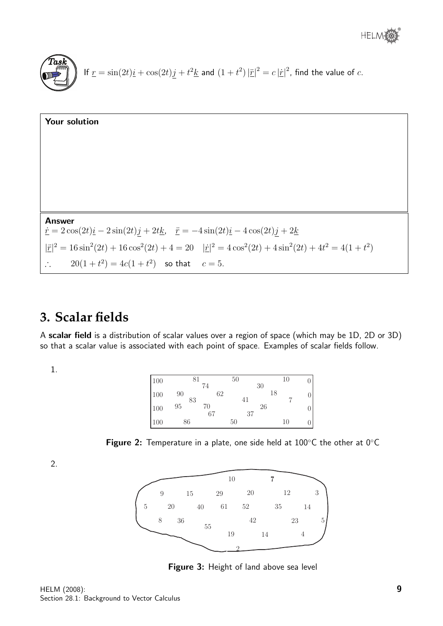

| Your solution                                                                                                                                                                                              |
|------------------------------------------------------------------------------------------------------------------------------------------------------------------------------------------------------------|
|                                                                                                                                                                                                            |
|                                                                                                                                                                                                            |
|                                                                                                                                                                                                            |
|                                                                                                                                                                                                            |
|                                                                                                                                                                                                            |
| <b>Answer</b><br>$\dot{\underline{r}} = 2\cos(2t)\underline{i} - 2\sin(2t)\underline{j} + 2t\underline{k}, \quad \ddot{\underline{r}} = -4\sin(2t)\underline{i} - 4\cos(2t)\underline{j} + 2\underline{k}$ |
| $ \ddot{x} ^2 = 16\sin^2(2t) + 16\cos^2(2t) + 4 = 20$ $ \dot{x} ^2 = 4\cos^2(2t) + 4\sin^2(2t) + 4t^2 = 4(1+t^2)$                                                                                          |
| $20(1+t^2) = 4c(1+t^2)$ so that $c = 5$ .<br>$\mathcal{L}_{\text{max}}$                                                                                                                                    |

## **3. Scalar fields**

A scalar field is a distribution of scalar values over a region of space (which may be 1D, 2D or 3D) so that a scalar value is associated with each point of space. Examples of scalar fields follow.

1.

| 100 | 81       | 74       | 50 | 30 | 10 |  |
|-----|----------|----------|----|----|----|--|
| 100 | 90       | 62       | 41 |    | 18 |  |
| 100 | 83<br>95 | 70<br>67 | 37 | 26 |    |  |
| 100 | 86       |          | 50 |    | 10 |  |



2.



Figure 3: Height of land above sea level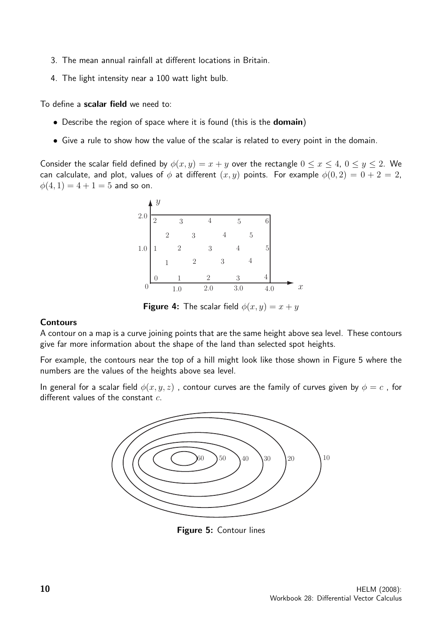- 3. The mean annual rainfall at different locations in Britain.
- 4. The light intensity near a 100 watt light bulb.

To define a scalar field we need to:

- Describe the region of space where it is found (this is the **domain**)
- Give a rule to show how the value of the scalar is related to every point in the domain.

Consider the scalar field defined by  $\phi(x, y) = x + y$  over the rectangle  $0 \le x \le 4$ ,  $0 \le y \le 2$ . We can calculate, and plot, values of  $\phi$  at different  $(x, y)$  points. For example  $\phi(0, 2) = 0 + 2 = 2$ ,  $\phi(4, 1) = 4 + 1 = 5$  and so on.



**Figure 4:** The scalar field  $\phi(x, y) = x + y$ 

#### **Contours**

A contour on a map is a curve joining points that are the same height above sea level. These contours give far more information about the shape of the land than selected spot heights.

For example, the contours near the top of a hill might look like those shown in Figure 5 where the numbers are the values of the heights above sea level.

In general for a scalar field  $\phi(x, y, z)$ , contour curves are the family of curves given by  $\phi = c$ , for different values of the constant  $c$ .



Figure 5: Contour lines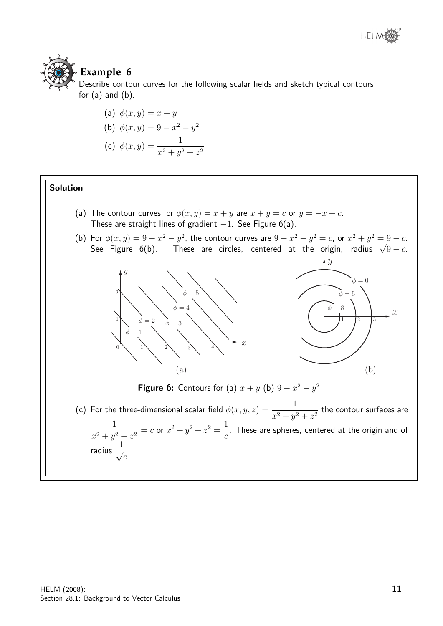

## **Example 6**

Describe contour curves for the following scalar fields and sketch typical contours for  $(a)$  and  $(b)$ .

(a) 
$$
\phi(x, y) = x + y
$$
  
\n(b)  $\phi(x, y) = 9 - x^2 - y^2$   
\n(c)  $\phi(x, y) = \frac{1}{x^2 + y^2 + z^2}$ 

#### Solution

(a) The contour curves for  $\phi(x, y) = x + y$  are  $x + y = c$  or  $y = -x + c$ . These are straight lines of gradient  $-1$ . See Figure 6(a).



 $\overline{c}$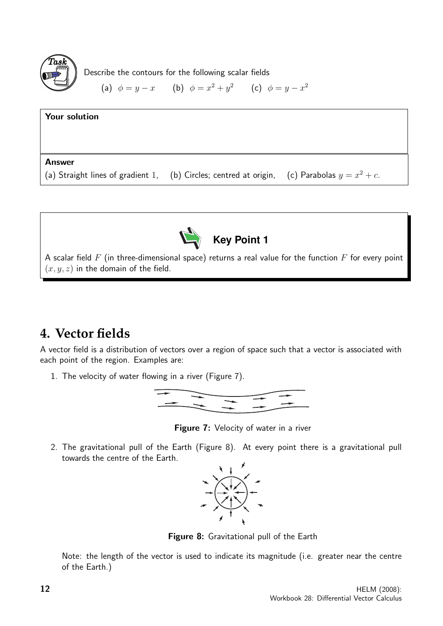

Describe the contours for the following scalar fields

(a) 
$$
\phi = y - x
$$
 (b)  $\phi = x^2 + y^2$  (c)  $\phi = y - x^2$ 

| Your solution                                                                                   |  |
|-------------------------------------------------------------------------------------------------|--|
|                                                                                                 |  |
| Answer                                                                                          |  |
| (a) Straight lines of gradient 1, (b) Circles; centred at origin, (c) Parabolas $y = x^2 + c$ . |  |



**Key Point 1**

A scalar field  $F$  (in three-dimensional space) returns a real value for the function  $F$  for every point  $(x, y, z)$  in the domain of the field.

## **4. Vector fields**

A vector field is a distribution of vectors over a region of space such that a vector is associated with each point of the region. Examples are:

1. The velocity of water flowing in a river (Figure 7).



Figure 7: Velocity of water in a river

2. The gravitational pull of the Earth (Figure 8). At every point there is a gravitational pull towards the centre of the Earth.



Figure 8: Gravitational pull of the Earth

Note: the length of the vector is used to indicate its magnitude (i.e. greater near the centre of the Earth.)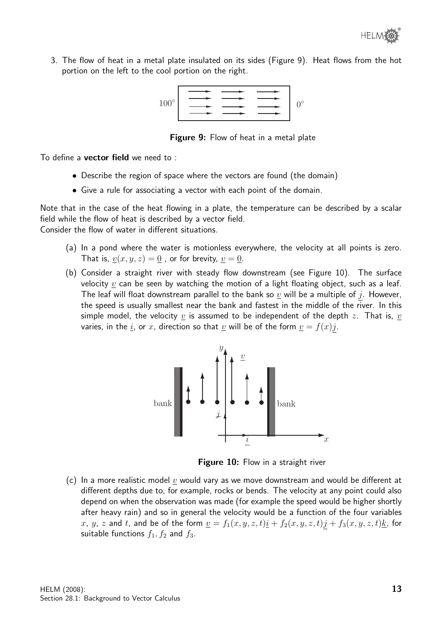3. The flow of heat in a metal plate insulated on its sides (Figure 9). Heat flows from the hot portion on the left to the cool portion on the right.

 $100^\circ$   $\longrightarrow$   $\longrightarrow$   $\longrightarrow$   $\downarrow$  0°

**Figure 9:** Flow of heat in a metal plate

To define a vector field we need to :

- Describe the region of space where the vectors are found (the domain)
- Give a rule for associating a vector with each point of the domain.

Note that in the case of the heat flowing in a plate, the temperature can be described by a scalar field while the flow of heat is described by a vector field. Consider the flow of water in different situations.

- (a) In a pond where the water is motionless everywhere, the velocity at all points is zero. That is,  $v(x, y, z) = 0$ , or for brevity,  $v = 0$ .
- (b) Consider a straight river with steady flow downstream (see Figure 10). The surface velocity  $v$  can be seen by watching the motion of a light floating object, such as a leaf. The leaf will float downstream parallel to the bank so  $\underline{v}$  will be a multiple of j. However, the speed is usually smallest near the bank and fastest in the middle of the river. In this simple model, the velocity  $v$  is assumed to be independent of the depth z. That is,  $v$ varies, in the <u>i</u>, or x, direction so that <u>v</u> will be of the form  $\underline{v} = f(x)j$ .



Figure 10: Flow in a straight river

(c) In a more realistic model  $v$  would vary as we move downstream and would be different at different depths due to, for example, rocks or bends. The velocity at any point could also depend on when the observation was made (for example the speed would be higher shortly after heavy rain) and so in general the velocity would be a function of the four variables x, y, z and t, and be of the form  $\underline{v} = f_1(x, y, z, t)\underline{i} + f_2(x, y, z, t)\underline{j} + f_3(x, y, z, t)\underline{k}$ , for suitable functions  $f_1, f_2$  and  $f_3$ .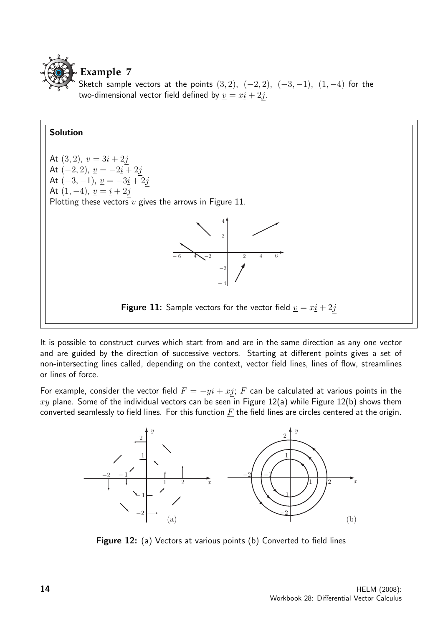

Sketch sample vectors at the points  $(3, 2)$ ,  $(-2, 2)$ ,  $(-3, -1)$ ,  $(1, -4)$  for the two-dimensional vector field defined by  $\underline{v} = x\underline{i} + 2j$ .



It is possible to construct curves which start from and are in the same direction as any one vector and are guided by the direction of successive vectors. Starting at different points gives a set of non-intersecting lines called, depending on the context, vector field lines, lines of flow, streamlines or lines of force.

For example, consider the vector field  $\underline{F} = -y\underline{i} + x\underline{j}$ ;  $\underline{F}$  can be calculated at various points in the xy plane. Some of the individual vectors can be seen in Figure 12(a) while Figure 12(b) shows them converted seamlessly to field lines. For this function  $F$  the field lines are circles centered at the origin.



Figure 12: (a) Vectors at various points (b) Converted to field lines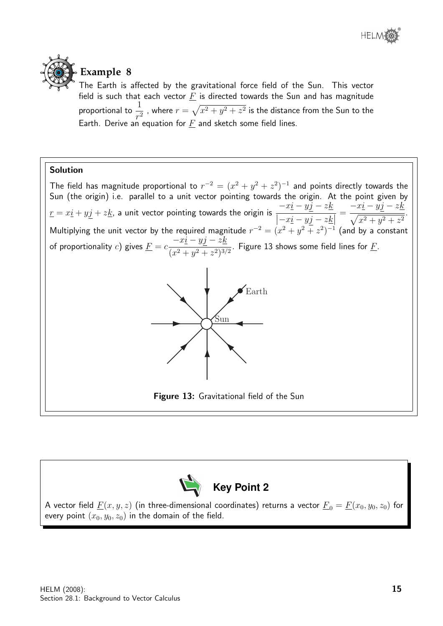



## **Example 8**

The Earth is affected by the gravitational force field of the Sun. This vector field is such that each vector  $\underline{F}$  is directed towards the Sun and has magnitude proportional to  $\frac{1}{4}$  $\frac{1}{r^2}$  , where  $r = \sqrt{x^2 + y^2 + z^2}$  is the distance from the Sun to the Earth. Derive an equation for  $\underline{F}$  and sketch some field lines.

#### Solution

The field has magnitude proportional to  $r^{-2} = (x^2 + y^2 + z^2)^{-1}$  and points directly towards the Sun (the origin) i.e. parallel to a unit vector pointing towards the origin. At the point given by  $\underline{r} = x \underline{i} + y \underline{j} + z \underline{k}$ , a unit vector pointing towards the origin is  $-xi - yj - zk$  $\frac{|-x\underline{i}-y\underline{j}-z\underline{k}|}{|z-z_0|}$ =  $-xi - yj - zk$  $\frac{y_2}{\sqrt{x^2+y^2+z^2}}$ . Multiplying the unit vector by the required magnitude  $r^{-2} = (x^2 + y^2 + z^2)^{-1}$  (and by a constant of proportionality  $c$ ) gives  $\underline{F} = c$  $-xi - yj - zk$  $\frac{y_2}{(x^2 + y^2 + z^2)^{3/2}}$ . Figure 13 shows some field lines for F.



Figure 13: Gravitational field of the Sun



A vector field  $\underline{F}(x, y, z)$  (in three-dimensional coordinates) returns a vector  $\underline{F}_0 = \underline{F}(x_0, y_0, z_0)$  for every point  $(x_0, y_0, z_0)$  in the domain of the field.